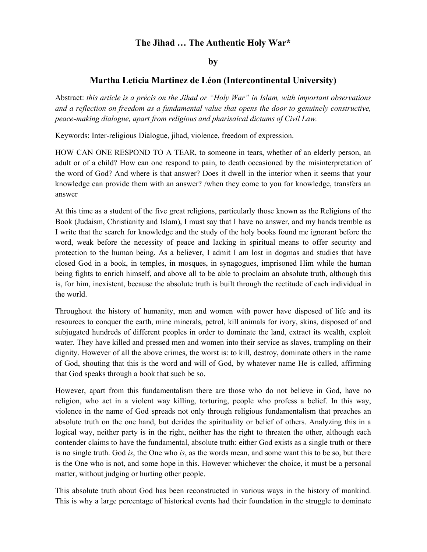## **The Jihad … The Authentic Holy War\***

**by**

## **Martha Leticia Martinez de Léon (Intercontinental University)**

Abstract: *this article is a précis on the Jihad or "Holy War" in Islam, with important observations and a reflection on freedom as a fundamental value that opens the door to genuinely constructive, peace-making dialogue, apart from religious and pharisaical dictums of Civil Law.*

Keywords: Inter-religious Dialogue, jihad, violence, freedom of expression.

HOW CAN ONE RESPOND TO A TEAR, to someone in tears, whether of an elderly person, an adult or of a child? How can one respond to pain, to death occasioned by the misinterpretation of the word of God? And where is that answer? Does it dwell in the interior when it seems that your knowledge can provide them with an answer? /when they come to you for knowledge, transfers an answer

At this time as a student of the five great religions, particularly those known as the Religions of the Book (Judaism, Christianity and Islam), I must say that I have no answer, and my hands tremble as I write that the search for knowledge and the study of the holy books found me ignorant before the word, weak before the necessity of peace and lacking in spiritual means to offer security and protection to the human being. As a believer, I admit I am lost in dogmas and studies that have closed God in a book, in temples, in mosques, in synagogues, imprisoned Him while the human being fights to enrich himself, and above all to be able to proclaim an absolute truth, although this is, for him, inexistent, because the absolute truth is built through the rectitude of each individual in the world.

Throughout the history of humanity, men and women with power have disposed of life and its resources to conquer the earth, mine minerals, petrol, kill animals for ivory, skins, disposed of and subjugated hundreds of different peoples in order to dominate the land, extract its wealth, exploit water. They have killed and pressed men and women into their service as slaves, trampling on their dignity. However of all the above crimes, the worst is: to kill, destroy, dominate others in the name of God, shouting that this is the word and will of God, by whatever name He is called, affirming that God speaks through a book that such be so.

However, apart from this fundamentalism there are those who do not believe in God, have no religion, who act in a violent way killing, torturing, people who profess a belief. In this way, violence in the name of God spreads not only through religious fundamentalism that preaches an absolute truth on the one hand, but derides the spirituality or belief of others. Analyzing this in a logical way, neither party is in the right, neither has the right to threaten the other, although each contender claims to have the fundamental, absolute truth: either God exists as a single truth or there is no single truth. God *is*, the One who *is*, as the words mean, and some want this to be so, but there is the One who is not, and some hope in this. However whichever the choice, it must be a personal matter, without judging or hurting other people.

This absolute truth about God has been reconstructed in various ways in the history of mankind. This is why a large percentage of historical events had their foundation in the struggle to dominate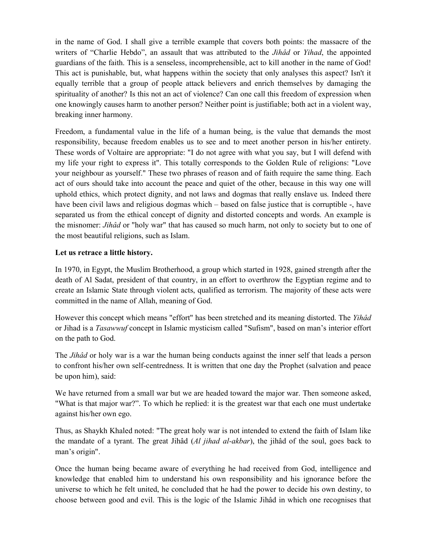in the name of God. I shall give a terrible example that covers both points: the massacre of the writers of "Charlie Hebdo", an assault that was attributed to the *Jihâd* or *Yihad*, the appointed guardians of the faith. This is a senseless, incomprehensible, act to kill another in the name of God! This act is punishable, but, what happens within the society that only analyses this aspect? Isn't it equally terrible that a group of people attack believers and enrich themselves by damaging the spirituality of another? Is this not an act of violence? Can one call this freedom of expression when one knowingly causes harm to another person? Neither point is justifiable; both act in a violent way, breaking inner harmony.

Freedom, a fundamental value in the life of a human being, is the value that demands the most responsibility, because freedom enables us to see and to meet another person in his/her entirety. These words of Voltaire are appropriate: "I do not agree with what you say, but I will defend with my life your right to express it". This totally corresponds to the Golden Rule of religions: "Love your neighbour as yourself." These two phrases of reason and of faith require the same thing. Each act of ours should take into account the peace and quiet of the other, because in this way one will uphold ethics, which protect dignity, and not laws and dogmas that really enslave us. Indeed there have been civil laws and religious dogmas which – based on false justice that is corruptible -, have separated us from the ethical concept of dignity and distorted concepts and words. An example is the misnomer: *Jihâd* or "holy war" that has caused so much harm, not only to society but to one of the most beautiful religions, such as Islam.

## **Let us retrace a little history.**

In 1970, in Egypt, the Muslim Brotherhood, a group which started in 1928, gained strength after the death of Al Sadat, president of that country, in an effort to overthrow the Egyptian regime and to create an Islamic State through violent acts, qualified as terrorism. The majority of these acts were committed in the name of Allah, meaning of God.

However this concept which means "effort" has been stretched and its meaning distorted. The *Yihâd*  or Jihad is a *Tasawwuf* concept in Islamic mysticism called "Sufism", based on man's interior effort on the path to God.

The *Jihâd* or holy war is a war the human being conducts against the inner self that leads a person to confront his/her own self-centredness. It is written that one day the Prophet (salvation and peace be upon him), said:

We have returned from a small war but we are headed toward the major war. Then someone asked, "What is that major war?". To which he replied: it is the greatest war that each one must undertake against his/her own ego.

Thus, as Shaykh Khaled noted: "The great holy war is not intended to extend the faith of Islam like the mandate of a tyrant. The great Jihâd (*Al jihad al-akbar*), the jihâd of the soul, goes back to man's origin".

Once the human being became aware of everything he had received from God, intelligence and knowledge that enabled him to understand his own responsibility and his ignorance before the universe to which he felt united, he concluded that he had the power to decide his own destiny, to choose between good and evil. This is the logic of the Islamic Jihâd in which one recognises that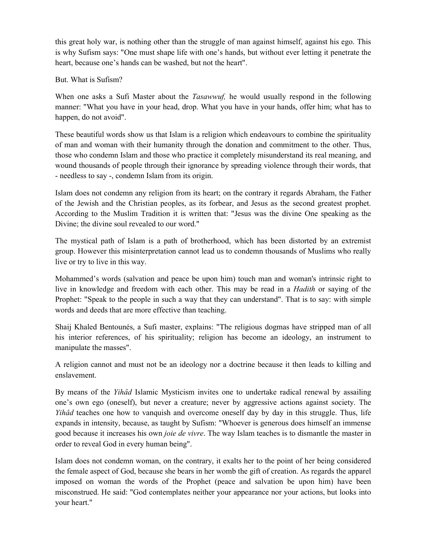this great holy war, is nothing other than the struggle of man against himself, against his ego. This is why Sufism says: "One must shape life with one's hands, but without ever letting it penetrate the heart, because one's hands can be washed, but not the heart".

But. What is Sufism?

When one asks a Sufi Master about the *Tasawwuf,* he would usually respond in the following manner: "What you have in your head, drop. What you have in your hands, offer him; what has to happen, do not avoid".

These beautiful words show us that Islam is a religion which endeavours to combine the spirituality of man and woman with their humanity through the donation and commitment to the other. Thus, those who condemn Islam and those who practice it completely misunderstand its real meaning, and wound thousands of people through their ignorance by spreading violence through their words, that - needless to say -, condemn Islam from its origin.

Islam does not condemn any religion from its heart; on the contrary it regards Abraham, the Father of the Jewish and the Christian peoples, as its forbear, and Jesus as the second greatest prophet. According to the Muslim Tradition it is written that: "Jesus was the divine One speaking as the Divine; the divine soul revealed to our word."

The mystical path of Islam is a path of brotherhood, which has been distorted by an extremist group. However this misinterpretation cannot lead us to condemn thousands of Muslims who really live or try to live in this way.

Mohammed's words (salvation and peace be upon him) touch man and woman's intrinsic right to live in knowledge and freedom with each other. This may be read in a *Hadith* or saying of the Prophet: "Speak to the people in such a way that they can understand". That is to say: with simple words and deeds that are more effective than teaching.

Shaij Khaled Bentounés, a Sufi master, explains: "The religious dogmas have stripped man of all his interior references, of his spirituality; religion has become an ideology, an instrument to manipulate the masses".

A religion cannot and must not be an ideology nor a doctrine because it then leads to killing and enslavement.

By means of the *Yihâd* Islamic Mysticism invites one to undertake radical renewal by assailing one's own ego (oneself), but never a creature; never by aggressive actions against society. The *Yihâd* teaches one how to vanquish and overcome oneself day by day in this struggle. Thus, life expands in intensity, because, as taught by Sufism: "Whoever is generous does himself an immense good because it increases his own *joie de vivre*. The way Islam teaches is to dismantle the master in order to reveal God in every human being".

Islam does not condemn woman, on the contrary, it exalts her to the point of her being considered the female aspect of God, because she bears in her womb the gift of creation. As regards the apparel imposed on woman the words of the Prophet (peace and salvation be upon him) have been misconstrued. He said: "God contemplates neither your appearance nor your actions, but looks into your heart."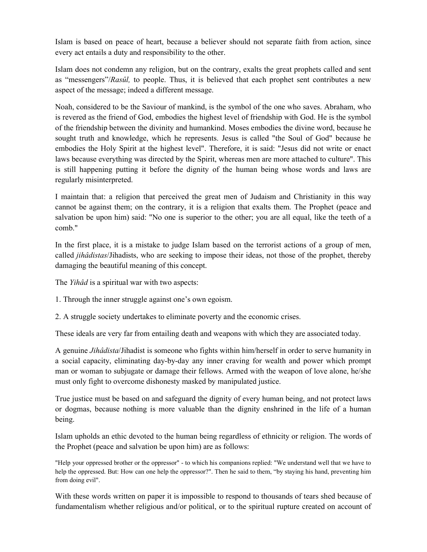Islam is based on peace of heart, because a believer should not separate faith from action, since every act entails a duty and responsibility to the other.

Islam does not condemn any religion, but on the contrary, exalts the great prophets called and sent as "messengers"/*Rasûl,* to people. Thus, it is believed that each prophet sent contributes a new aspect of the message; indeed a different message.

Noah, considered to be the Saviour of mankind, is the symbol of the one who saves. Abraham, who is revered as the friend of God, embodies the highest level of friendship with God. He is the symbol of the friendship between the divinity and humankind. Moses embodies the divine word, because he sought truth and knowledge, which he represents. Jesus is called "the Soul of God" because he embodies the Holy Spirit at the highest level". Therefore, it is said: "Jesus did not write or enact laws because everything was directed by the Spirit, whereas men are more attached to culture". This is still happening putting it before the dignity of the human being whose words and laws are regularly misinterpreted.

I maintain that: a religion that perceived the great men of Judaism and Christianity in this way cannot be against them; on the contrary, it is a religion that exalts them. The Prophet (peace and salvation be upon him) said: "No one is superior to the other; you are all equal, like the teeth of a comb."

In the first place, it is a mistake to judge Islam based on the terrorist actions of a group of men, called *jihâdistas*/Jihadists, who are seeking to impose their ideas, not those of the prophet, thereby damaging the beautiful meaning of this concept.

The *Yihâd* is a spiritual war with two aspects:

1. Through the inner struggle against one's own egoism.

2. A struggle society undertakes to eliminate poverty and the economic crises.

These ideals are very far from entailing death and weapons with which they are associated today.

A genuine *Jihâdista*/Jihadist is someone who fights within him/herself in order to serve humanity in a social capacity, eliminating day-by-day any inner craving for wealth and power which prompt man or woman to subjugate or damage their fellows. Armed with the weapon of love alone, he/she must only fight to overcome dishonesty masked by manipulated justice.

True justice must be based on and safeguard the dignity of every human being, and not protect laws or dogmas, because nothing is more valuable than the dignity enshrined in the life of a human being.

Islam upholds an ethic devoted to the human being regardless of ethnicity or religion. The words of the Prophet (peace and salvation be upon him) are as follows:

"Help your oppressed brother or the oppressor" - to which his companions replied: "We understand well that we have to help the oppressed. But: How can one help the oppressor?". Then he said to them, "by staying his hand, preventing him from doing evil".

With these words written on paper it is impossible to respond to thousands of tears shed because of fundamentalism whether religious and/or political, or to the spiritual rupture created on account of